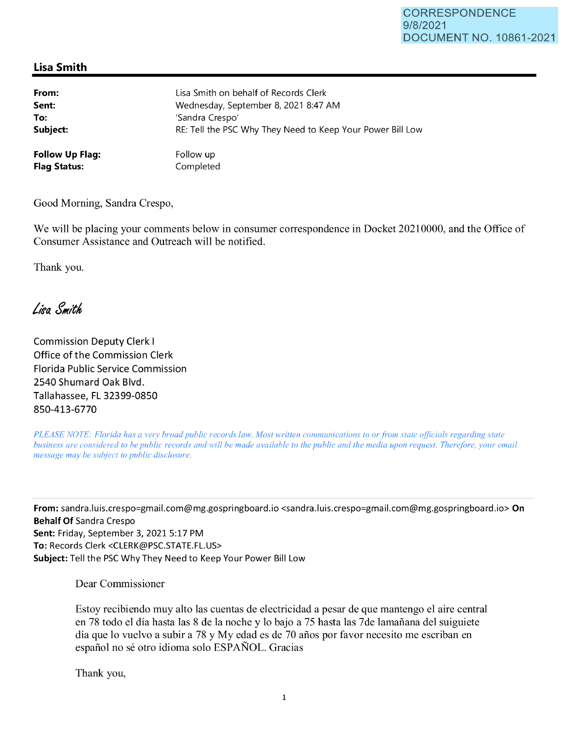## **Lisa Smith**

| From:                  | Lisa Smith on behalf of Records Clerk                      |
|------------------------|------------------------------------------------------------|
| Sent:                  | Wednesday, September 8, 2021 8:47 AM                       |
| To:                    | 'Sandra Crespo'                                            |
| Subject:               | RE: Tell the PSC Why They Need to Keep Your Power Bill Low |
| <b>Follow Up Flag:</b> | Follow up                                                  |
| <b>Flag Status:</b>    | Completed                                                  |

Good Morning, Sandra Crespo,

We will be placing your comments below in consumer correspondence **in** Docket 20210000, and the Office of Consumer Assistance and Outreach will be notified.

Thank you.

Lisa Smith

Commission Deputy Clerk I Office of the Commission Clerk Florida Public Service Commission 2540 Shumard Oak Blvd. Tallahassee, FL 32399-0850 850-413-6770

*PLEASE NOTE: Florida has a very broad public records law. Most written communications to or from state officials regarding state business are considered to be public records and will be made available to the public and the media upon request. Therefore, your email message may be subject to public disclosure.* 

**From:** sandra.luis.crespo=gmail.com@mg.gospringboard.io <sandra.luis.crespo=gmail.com@mg.gospringboard .io> **On Behalf Of** Sandra Crespo **Sent:** Friday, September 3, 2021 5:17 PM **To:** Records Clerk <CLERK@PSC.STATE.FL.US> **Subject:** Tell the PSC Why They Need to Keep Your Power Bill Low

Dear Commissioner

Estoy recibiendo muy alto las cuentas de electricidad a pesar de que mantengo el aire central en 78 todo el día hasta las 8 de la noche y lo bajo a 75 hasta las 7 de lamañana del suiguiete dia que lo vuelvo a subir a 78 y My edad es de 70 afios por favor necesito me escriban en español no sé otro idioma solo ESPAÑOL. Gracias

Thank you,